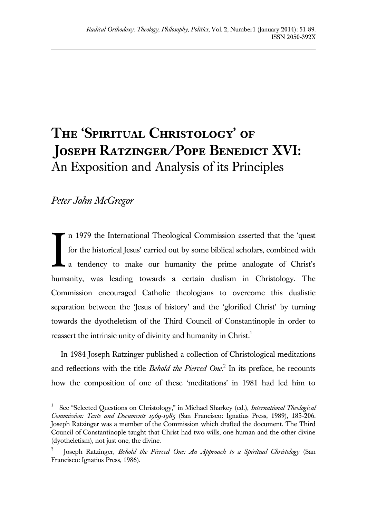# **The 'Spiritual Christology' of Joseph Ratzinger/Pope Benedict XVI:**  An Exposition and Analysis of its Principles

# *Peter John McGregor*

l

n 1979 the International Theological Commission asserted that the 'quest for the historical Jesus' carried out by some biblical scholars, combined with a tendency to make our humanity the prime analogate of Christ's humanity, was leading towards a certain dualism in Christology. The Commission encouraged Catholic theologians to overcome this dualistic separation between the 'Jesus of history' and the 'glorified Christ' by turning towards the dyotheletism of the Third Council of Constantinople in order to reassert the intrinsic unity of divinity and humanity in Christ.<sup>1</sup> I

In 1984 Joseph Ratzinger published a collection of Christological meditations and reflections with the title *Behold the Pierced One*. 2 In its preface, he recounts how the composition of one of these 'meditations' in 1981 had led him to

<sup>1</sup> See "Selected Questions on Christology," in Michael Sharkey (ed.), *International Theological Commission: Texts and Documents 1969-1985* (San Francisco: Ignatius Press, 1989), 185-206. Joseph Ratzinger was a member of the Commission which drafted the document. The Third Council of Constantinople taught that Christ had two wills, one human and the other divine (dyotheletism), not just one, the divine.

<sup>2</sup> Joseph Ratzinger, *Behold the Pierced One: An Approach to a Spiritual Christology* (San Francisco: Ignatius Press, 1986).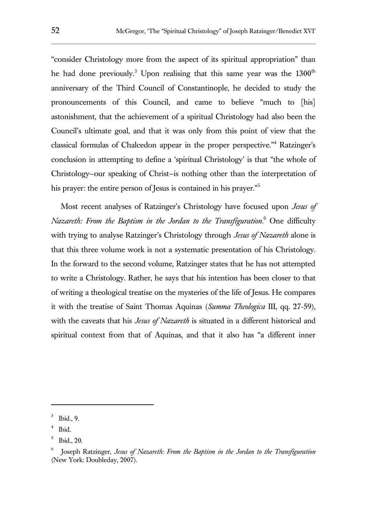"consider Christology more from the aspect of its spiritual appropriation" than he had done previously.<sup>3</sup> Upon realising that this same year was the  $1300<sup>th</sup>$ anniversary of the Third Council of Constantinople, he decided to study the pronouncements of this Council, and came to believe "much to [his] astonishment, that the achievement of a spiritual Christology had also been the Council's ultimate goal, and that it was only from this point of view that the classical formulas of Chalcedon appear in the proper perspective."<sup>4</sup> Ratzinger's conclusion in attempting to define a 'spiritual Christology' is that "the whole of Christology—our speaking of Christ—is nothing other than the interpretation of his prayer: the entire person of Jesus is contained in his prayer."<sup>5</sup>

Most recent analyses of Ratzinger's Christology have focused upon *Jesus of Nazareth: From the Baptism in the Jordan to the Transfiguration*. <sup>6</sup> One difficulty with trying to analyse Ratzinger's Christology through *Jesus of Nazareth* alone is that this three volume work is not a systematic presentation of his Christology. In the forward to the second volume, Ratzinger states that he has not attempted to write a Christology. Rather, he says that his intention has been closer to that of writing a theological treatise on the mysteries of the life of Jesus. He compares it with the treatise of Saint Thomas Aquinas (*Summa Theologica* III, qq. 27-59), with the caveats that his *Jesus of Nazareth* is situated in a different historical and spiritual context from that of Aquinas, and that it also has "a different inner

<sup>3</sup> Ibid., 9.

<sup>4</sup> Ibid.

<sup>5</sup> Ibid., 20.

<sup>6</sup> Joseph Ratzinger, *Jesus of Nazareth: From the Baptism in the Jordan to the Transfiguration* (New York: Doubleday, 2007).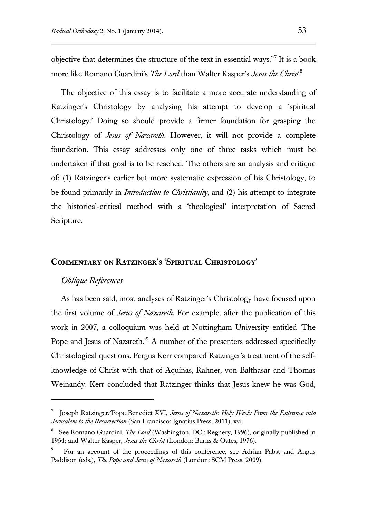objective that determines the structure of the text in essential ways."<sup>7</sup> It is a book more like Romano Guardini's *The Lord* than Walter Kasper's *Jesus the Christ*. 8

The objective of this essay is to facilitate a more accurate understanding of Ratzinger's Christology by analysing his attempt to develop a 'spiritual Christology.' Doing so should provide a firmer foundation for grasping the Christology of *Jesus of Nazareth*. However, it will not provide a complete foundation. This essay addresses only one of three tasks which must be undertaken if that goal is to be reached. The others are an analysis and critique of: (1) Ratzinger's earlier but more systematic expression of his Christology, to be found primarily in *Introduction to Christianity*, and (2) his attempt to integrate the historical-critical method with a 'theological' interpretation of Sacred Scripture.

#### **Commentary on Ratzinger's 'Spiritual Christology'**

# *Oblique References*

 $\overline{a}$ 

As has been said, most analyses of Ratzinger's Christology have focused upon the first volume of *Jesus of Nazareth*. For example, after the publication of this work in 2007, a colloquium was held at Nottingham University entitled 'The Pope and Jesus of Nazareth.<sup>9</sup> A number of the presenters addressed specifically Christological questions. Fergus Kerr compared Ratzinger's treatment of the selfknowledge of Christ with that of Aquinas, Rahner, von Balthasar and Thomas Weinandy. Kerr concluded that Ratzinger thinks that Jesus knew he was God,

<sup>7</sup> Joseph Ratzinger/Pope Benedict XVI, *Jesus of Nazareth: Holy Week: From the Entrance into Jerusalem to the Resurrection* (San Francisco: Ignatius Press, 2011), xvi.

<sup>8</sup> See Romano Guardini, *The Lord* (Washington, DC.: Regnery, 1996), originally published in 1954; and Walter Kasper, *Jesus the Christ* (London: Burns & Oates, 1976).

<sup>9</sup> For an account of the proceedings of this conference, see Adrian Pabst and Angus Paddison (eds.), *The Pope and Jesus of Nazareth* (London: SCM Press, 2009).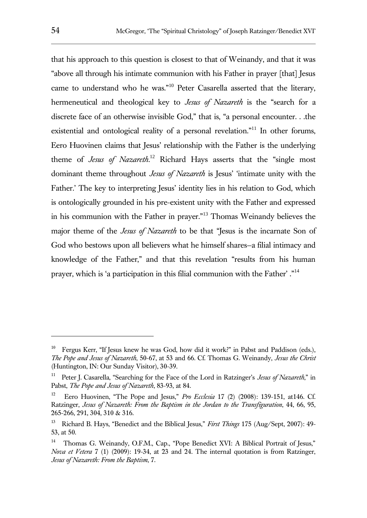that his approach to this question is closest to that of Weinandy, and that it was "above all through his intimate communion with his Father in prayer [that] Jesus came to understand who he was."<sup>10</sup> Peter Casarella asserted that the literary, hermeneutical and theological key to *Jesus of Nazareth* is the "search for a discrete face of an otherwise invisible God," that is, "a personal encounter. . .the existential and ontological reality of a personal revelation."<sup>11</sup> In other forums, Eero Huovinen claims that Jesus' relationship with the Father is the underlying theme of *Jesus of Nazareth*. <sup>12</sup> Richard Hays asserts that the "single most dominant theme throughout *Jesus of Nazareth* is Jesus' 'intimate unity with the Father.' The key to interpreting Jesus' identity lies in his relation to God, which is ontologically grounded in his pre-existent unity with the Father and expressed in his communion with the Father in prayer."<sup>13</sup> Thomas Weinandy believes the major theme of the *Jesus of Nazareth* to be that "Jesus is the incarnate Son of God who bestows upon all believers what he himself shares—a filial intimacy and knowledge of the Father," and that this revelation "results from his human prayer, which is 'a participation in this filial communion with the Father' ."<sup>14</sup>

<sup>10</sup> Fergus Kerr, "If Jesus knew he was God, how did it work?" in Pabst and Paddison (eds.), *The Pope and Jesus of Nazareth*, 50-67, at 53 and 66. Cf. Thomas G. Weinandy, *Jesus the Christ* (Huntington, IN: Our Sunday Visitor), 30-39.

<sup>11</sup> Peter J. Casarella, "Searching for the Face of the Lord in Ratzinger's *Jesus of Nazareth*," in Pabst, *The Pope and Jesus of Nazareth*, 83-93, at 84.

<sup>12</sup> Eero Huovinen, "The Pope and Jesus," *Pro Ecclesia* 17 (2) (2008): 139-151, at146. Cf. Ratzinger, *Jesus of Nazareth: From the Baptism in the Jordan to the Transfiguration*, 44, 66, 95, 265-266, 291, 304, 310 & 316.

<sup>13</sup> Richard B. Hays, "Benedict and the Biblical Jesus," *First Things* 175 (Aug/Sept, 2007): 49- 53, at 50.

<sup>14</sup> Thomas G. Weinandy, O.F.M., Cap., "Pope Benedict XVI: A Biblical Portrait of Jesus," *Nova et Vetera* 7 (1) (2009): 19-34, at 23 and 24. The internal quotation is from Ratzinger, *Jesus of Nazareth: From the Baptism*, 7.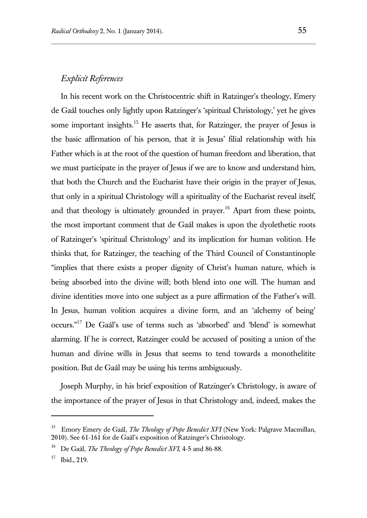## *Explicit References*

In his recent work on the Christocentric shift in Ratzinger's theology, Emery de Gaál touches only lightly upon Ratzinger's 'spiritual Christology,' yet he gives some important insights.<sup>15</sup> He asserts that, for Ratzinger, the prayer of Jesus is the basic affirmation of his person, that it is Jesus' filial relationship with his Father which is at the root of the question of human freedom and liberation, that we must participate in the prayer of Jesus if we are to know and understand him, that both the Church and the Eucharist have their origin in the prayer of Jesus, that only in a spiritual Christology will a spirituality of the Eucharist reveal itself, and that theology is ultimately grounded in prayer.<sup>16</sup> Apart from these points, the most important comment that de Gaál makes is upon the dyolethetic roots of Ratzinger's 'spiritual Christology' and its implication for human volition. He thinks that, for Ratzinger, the teaching of the Third Council of Constantinople "implies that there exists a proper dignity of Christ's human nature, which is being absorbed into the divine will; both blend into one will. The human and divine identities move into one subject as a pure affirmation of the Father's will. In Jesus, human volition acquires a divine form, and an 'alchemy of being' occurs."<sup>17</sup> De Gaál's use of terms such as 'absorbed' and 'blend' is somewhat alarming. If he is correct, Ratzinger could be accused of positing a union of the human and divine wills in Jesus that seems to tend towards a monothelitite position. But de Gaál may be using his terms ambiguously.

Joseph Murphy, in his brief exposition of Ratzinger's Christology, is aware of the importance of the prayer of Jesus in that Christology and, indeed, makes the

<sup>15</sup> Emory Emery de Gaál, *The Theology of Pope Benedict XVI* (New York: Palgrave Macmillan, 2010). See 61-161 for de Gaál's exposition of Ratzinger's Christology.

<sup>16</sup> De Gaál, *The Theology of Pope Benedict XVI*, 4-5 and 86-88.

<sup>17</sup> Ibid., 219.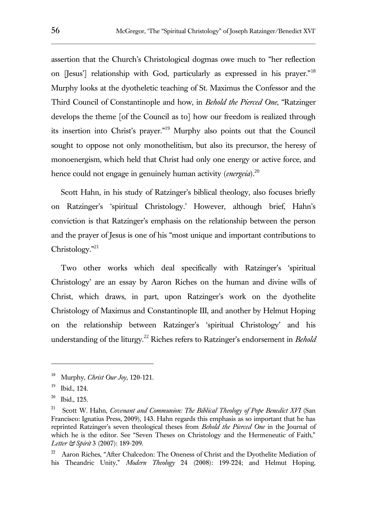assertion that the Church's Christological dogmas owe much to "her reflection on [Jesus'] relationship with God, particularly as expressed in his prayer."<sup>18</sup> Murphy looks at the dyotheletic teaching of St. Maximus the Confessor and the Third Council of Constantinople and how, in *Behold the Pierced One*, "Ratzinger develops the theme [of the Council as to] how our freedom is realized through its insertion into Christ's prayer."<sup>19</sup> Murphy also points out that the Council sought to oppose not only monothelitism, but also its precursor, the heresy of monoenergism, which held that Christ had only one energy or active force, and hence could not engage in genuinely human activity (*energeia*).<sup>20</sup>

Scott Hahn, in his study of Ratzinger's biblical theology, also focuses briefly on Ratzinger's 'spiritual Christology.' However, although brief, Hahn's conviction is that Ratzinger's emphasis on the relationship between the person and the prayer of Jesus is one of his "most unique and important contributions to Christology."<sup>21</sup>

Two other works which deal specifically with Ratzinger's 'spiritual Christology' are an essay by Aaron Riches on the human and divine wills of Christ, which draws, in part, upon Ratzinger's work on the dyothelite Christology of Maximus and Constantinople III, and another by Helmut Hoping on the relationship between Ratzinger's 'spiritual Christology' and his understanding of the liturgy.<sup>22</sup> Riches refers to Ratzinger's endorsement in *Behold* 

<sup>18</sup> Murphy, *Christ Our Joy,* 120-121.

<sup>19</sup> Ibid., 124.

<sup>20</sup> Ibid., 125.

<sup>21</sup> Scott W. Hahn, *Covenant and Communion: The Biblical Theology of Pope Benedict XVI* (San Francisco: Ignatius Press, 2009), 143. Hahn regards this emphasis as so important that he has reprinted Ratzinger's seven theological theses from *Behold the Pierced One* in the Journal of which he is the editor. See "Seven Theses on Christology and the Hermeneutic of Faith," *Letter & Spirit* 3 (2007): 189-209.

<sup>22</sup> Aaron Riches, "After Chalcedon: The Oneness of Christ and the Dyothelite Mediation of his Theandric Unity," *Modern Theology* 24 (2008): 199-224; and Helmut Hoping,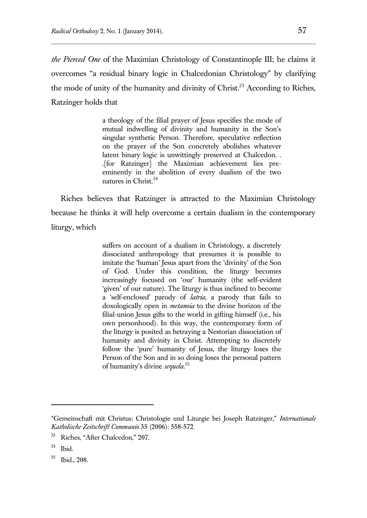*the Pierced One* of the Maximian Christology of Constantinople III; he claims it overcomes "a residual binary logic in Chalcedonian Christology" by clarifying the mode of unity of the humanity and divinity of  $Christ.^{23}$  According to Riches, Ratzinger holds that

> a theology of the filial prayer of Jesus specifies the mode of mutual indwelling of divinity and humanity in the Son's singular synthetic Person. Therefore, speculative reflection on the prayer of the Son concretely abolishes whatever latent binary logic is unwittingly preserved at Chalcedon. . .[for Ratzinger] the Maximian achievement lies preeminently in the abolition of every dualism of the two natures in Christ.<sup>24</sup>

Riches believes that Ratzinger is attracted to the Maximian Christology because he thinks it will help overcome a certain dualism in the contemporary liturgy, which

> suffers on account of a dualism in Christology, a discretely dissociated anthropology that presumes it is possible to imitate the 'human' Jesus apart from the 'divinity' of the Son of God. Under this condition, the liturgy becomes increasingly focused on 'our' humanity (the self-evident 'given' of our nature). The liturgy is thus inclined to become a 'self-enclosed' parody of *latria*, a parody that fails to doxologically open in *metanoia* to the divine horizon of the filial-union Jesus gifts to the world in gifting himself (i.e., his own personhood). In this way, the contemporary form of the liturgy is posited as betraying a Nestorian dissociation of humanity and divinity in Christ. Attempting to discretely follow the 'pure' humanity of Jesus, the liturgy loses the Person of the Son and in so doing loses the personal pattern of humanity's divine *sequela*. 25

<sup>&</sup>quot;Gemeinschaft mit Christus: Christologie und Liturgie bei Joseph Ratzinger," *Internationale Katholische Zeitschrift Communio* 35 (2006): 558-572.

<sup>23</sup> Riches, "After Chalcedon," 207.

<sup>24</sup> Ibid.

<sup>25</sup> Ibid., 208.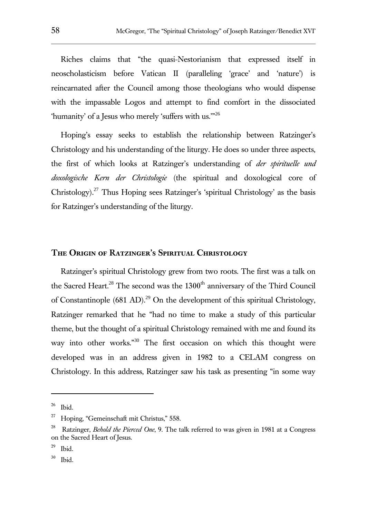Riches claims that "the quasi-Nestorianism that expressed itself in neoscholasticism before Vatican II (paralleling 'grace' and 'nature') is reincarnated after the Council among those theologians who would dispense with the impassable Logos and attempt to find comfort in the dissociated 'humanity' of a Jesus who merely 'suffers with us.'"<sup>26</sup>

Hoping's essay seeks to establish the relationship between Ratzinger's Christology and his understanding of the liturgy. He does so under three aspects, the first of which looks at Ratzinger's understanding of *der spirituelle und doxologische Kern der Christologie* (the spiritual and doxological core of Christology).<sup>27</sup> Thus Hoping sees Ratzinger's 'spiritual Christology' as the basis for Ratzinger's understanding of the liturgy.

#### **The Origin of Ratzinger's Spiritual Christology**

Ratzinger's spiritual Christology grew from two roots. The first was a talk on the Sacred Heart.<sup>28</sup> The second was the  $1300<sup>th</sup>$  anniversary of the Third Council of Constantinople  $(681 \text{ AD})$ .<sup>29</sup> On the development of this spiritual Christology, Ratzinger remarked that he "had no time to make a study of this particular theme, but the thought of a spiritual Christology remained with me and found its way into other works."<sup>30</sup> The first occasion on which this thought were developed was in an address given in 1982 to a CELAM congress on Christology. In this address, Ratzinger saw his task as presenting "in some way

<sup>26</sup> Ibid.

<sup>27</sup> Hoping, "Gemeinschaft mit Christus," 558.

<sup>28</sup> Ratzinger, *Behold the Pierced One*, 9. The talk referred to was given in 1981 at a Congress on the Sacred Heart of Jesus.

<sup>29</sup> Ibid.

<sup>30</sup> Ibid.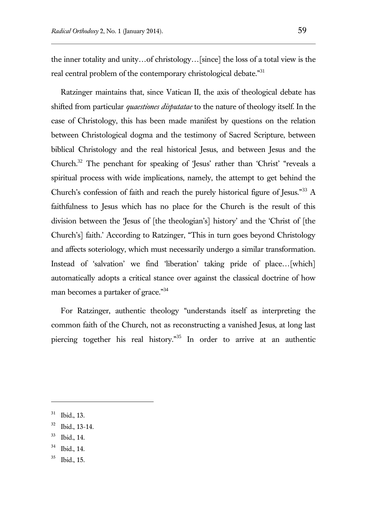the inner totality and unity…of christology…[since] the loss of a total view is the real central problem of the contemporary christological debate."<sup>31</sup>

Ratzinger maintains that, since Vatican II, the axis of theological debate has shifted from particular *quaestiones disputatae* to the nature of theology itself. In the case of Christology, this has been made manifest by questions on the relation between Christological dogma and the testimony of Sacred Scripture, between biblical Christology and the real historical Jesus, and between Jesus and the Church.<sup>32</sup> The penchant for speaking of 'Jesus' rather than 'Christ' "reveals a spiritual process with wide implications, namely, the attempt to get behind the Church's confession of faith and reach the purely historical figure of Jesus."<sup>33</sup> A faithfulness to Jesus which has no place for the Church is the result of this division between the 'Jesus of [the theologian's] history' and the 'Christ of [the Church's] faith.' According to Ratzinger, "This in turn goes beyond Christology and affects soteriology, which must necessarily undergo a similar transformation. Instead of 'salvation' we find 'liberation' taking pride of place…[which] automatically adopts a critical stance over against the classical doctrine of how man becomes a partaker of grace."<sup>34</sup>

For Ratzinger, authentic theology "understands itself as interpreting the common faith of the Church, not as reconstructing a vanished Jesus, at long last piercing together his real history."<sup>35</sup> In order to arrive at an authentic

<sup>31</sup> Ibid., 13.

<sup>32</sup> Ibid., 13-14.

<sup>33</sup> Ibid., 14.

<sup>34</sup> Ibid., 14.

<sup>35</sup> Ibid., 15.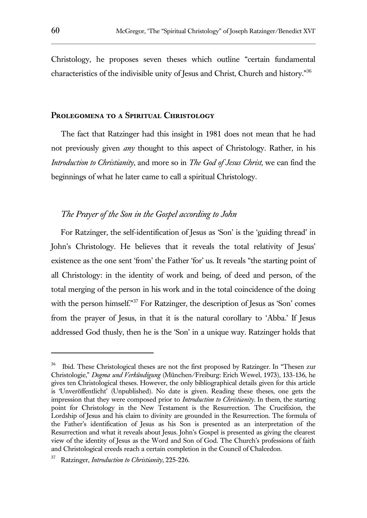Christology, he proposes seven theses which outline "certain fundamental characteristics of the indivisible unity of Jesus and Christ, Church and history."<sup>36</sup>

#### **Prolegomena to a Spiritual Christology**

The fact that Ratzinger had this insight in 1981 does not mean that he had not previously given *any* thought to this aspect of Christology. Rather, in his *Introduction to Christianity*, and more so in *The God of Jesus Christ*, we can find the beginnings of what he later came to call a spiritual Christology.

# *The Prayer of the Son in the Gospel according to John*

For Ratzinger, the self-identification of Jesus as 'Son' is the 'guiding thread' in John's Christology. He believes that it reveals the total relativity of Jesus' existence as the one sent 'from' the Father 'for' us. It reveals "the starting point of all Christology: in the identity of work and being, of deed and person, of the total merging of the person in his work and in the total coincidence of the doing with the person himself."<sup>37</sup> For Ratzinger, the description of Jesus as 'Son' comes from the prayer of Jesus, in that it is the natural corollary to 'Abba.' If Jesus addressed God thusly, then he is the 'Son' in a unique way. Ratzinger holds that

<sup>36</sup> Ibid. These Christological theses are not the first proposed by Ratzinger. In "Thesen zur Christologie," *Dogma und Verkündigung* (München/Freiburg: Erich Wewel, 1973), 133-136, he gives ten Christological theses. However, the only bibliographical details given for this article is 'Unveröffentlicht' (Unpublished). No date is given. Reading these theses, one gets the impression that they were composed prior to *Introduction to Christianity*. In them, the starting point for Christology in the New Testament is the Resurrection. The Crucifixion, the Lordship of Jesus and his claim to divinity are grounded in the Resurrection. The formula of the Father's identification of Jesus as his Son is presented as an interpretation of the Resurrection and what it reveals about Jesus. John's Gospel is presented as giving the clearest view of the identity of Jesus as the Word and Son of God. The Church's professions of faith and Christological creeds reach a certain completion in the Council of Chalcedon.

<sup>37</sup> Ratzinger, *Introduction to Christianity*, 225-226.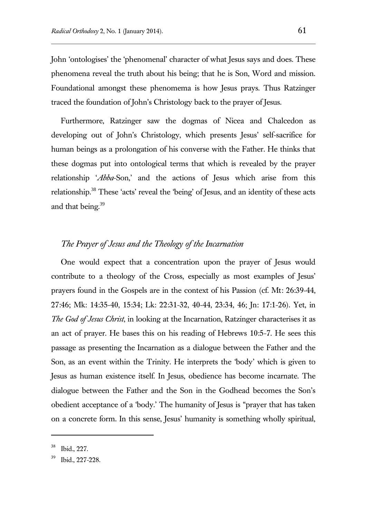John 'ontologises' the 'phenomenal' character of what Jesus says and does. These phenomena reveal the truth about his being; that he is Son, Word and mission. Foundational amongst these phenomema is how Jesus prays. Thus Ratzinger traced the foundation of John's Christology back to the prayer of Jesus.

Furthermore, Ratzinger saw the dogmas of Nicea and Chalcedon as developing out of John's Christology, which presents Jesus' self-sacrifice for human beings as a prolongation of his converse with the Father. He thinks that these dogmas put into ontological terms that which is revealed by the prayer relationship '*Abba*-Son,' and the actions of Jesus which arise from this relationship.<sup>38</sup> These 'acts' reveal the 'being' of Jesus, and an identity of these acts and that being.<sup>39</sup>

#### *The Prayer of Jesus and the Theology of the Incarnation*

One would expect that a concentration upon the prayer of Jesus would contribute to a theology of the Cross, especially as most examples of Jesus' prayers found in the Gospels are in the context of his Passion (cf. Mt: 26:39-44, 27:46; Mk: 14:35-40, 15:34; Lk: 22:31-32, 40-44, 23:34, 46; Jn: 17:1-26). Yet, in *The God of Jesus Christ*, in looking at the Incarnation, Ratzinger characterises it as an act of prayer. He bases this on his reading of Hebrews 10:5-7. He sees this passage as presenting the Incarnation as a dialogue between the Father and the Son, as an event within the Trinity. He interprets the 'body' which is given to Jesus as human existence itself. In Jesus, obedience has become incarnate. The dialogue between the Father and the Son in the Godhead becomes the Son's obedient acceptance of a 'body.' The humanity of Jesus is "prayer that has taken on a concrete form. In this sense, Jesus' humanity is something wholly spiritual,

<sup>38</sup> Ibid., 227.

<sup>39</sup> Ibid., 227-228.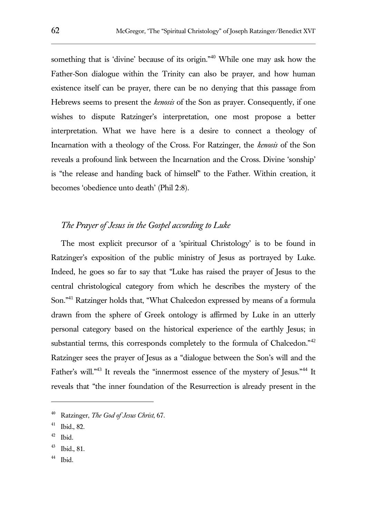something that is 'divine' because of its origin."<sup>40</sup> While one may ask how the Father-Son dialogue within the Trinity can also be prayer, and how human existence itself can be prayer, there can be no denying that this passage from Hebrews seems to present the *kenosis* of the Son as prayer. Consequently, if one wishes to dispute Ratzinger's interpretation, one most propose a better interpretation. What we have here is a desire to connect a theology of Incarnation with a theology of the Cross. For Ratzinger, the *kenosis* of the Son reveals a profound link between the Incarnation and the Cross. Divine 'sonship' is "the release and handing back of himself" to the Father. Within creation, it becomes 'obedience unto death' (Phil 2:8).

# *The Prayer of Jesus in the Gospel according to Luke*

The most explicit precursor of a 'spiritual Christology' is to be found in Ratzinger's exposition of the public ministry of Jesus as portrayed by Luke. Indeed, he goes so far to say that "Luke has raised the prayer of Jesus to the central christological category from which he describes the mystery of the Son."<sup>41</sup> Ratzinger holds that, "What Chalcedon expressed by means of a formula drawn from the sphere of Greek ontology is affirmed by Luke in an utterly personal category based on the historical experience of the earthly Jesus; in substantial terms, this corresponds completely to the formula of Chalcedon." $42$ Ratzinger sees the prayer of Jesus as a "dialogue between the Son's will and the Father's will."<sup>43</sup> It reveals the "innermost essence of the mystery of Jesus."<sup>44</sup> It reveals that "the inner foundation of the Resurrection is already present in the

<sup>40</sup> Ratzinger, *The God of Jesus Christ*, 67.

<sup>41</sup> Ibid., 82.

<sup>42</sup> Ibid.

<sup>43</sup> Ibid., 81.

<sup>44</sup> Ibid.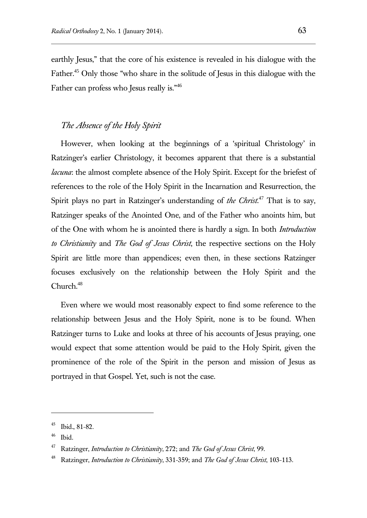earthly Jesus," that the core of his existence is revealed in his dialogue with the Father.<sup>45</sup> Only those "who share in the solitude of Jesus in this dialogue with the Father can profess who Jesus really is."<sup>46</sup>

## *The Absence of the Holy Spirit*

However, when looking at the beginnings of a 'spiritual Christology' in Ratzinger's earlier Christology, it becomes apparent that there is a substantial *lacuna*: the almost complete absence of the Holy Spirit. Except for the briefest of references to the role of the Holy Spirit in the Incarnation and Resurrection, the Spirit plays no part in Ratzinger's understanding of *the Christ*. <sup>47</sup> That is to say, Ratzinger speaks of the Anointed One, and of the Father who anoints him, but of the One with whom he is anointed there is hardly a sign. In both *Introduction to Christianity* and *The God of Jesus Christ*, the respective sections on the Holy Spirit are little more than appendices; even then, in these sections Ratzinger focuses exclusively on the relationship between the Holy Spirit and the  $Church<sup>48</sup>$ 

Even where we would most reasonably expect to find some reference to the relationship between Jesus and the Holy Spirit, none is to be found. When Ratzinger turns to Luke and looks at three of his accounts of Jesus praying, one would expect that some attention would be paid to the Holy Spirit, given the prominence of the role of the Spirit in the person and mission of Jesus as portrayed in that Gospel. Yet, such is not the case.

<sup>45</sup> Ibid., 81-82.

<sup>46</sup> Ibid.

<sup>47</sup> Ratzinger, *Introduction to Christianity*, 272; and *The God of Jesus Christ*, 99.

<sup>48</sup> Ratzinger, *Introduction to Christianity*, 331-359; and *The God of Jesus Christ*, 103-113.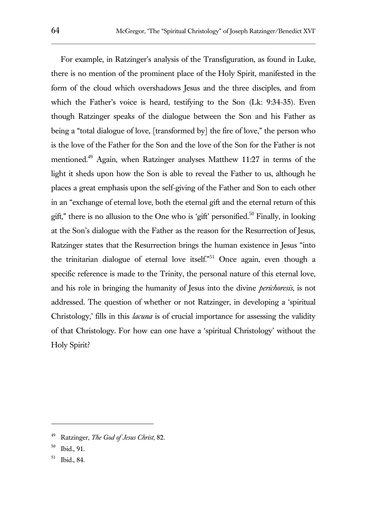For example, in Ratzinger's analysis of the Transfiguration, as found in Luke, there is no mention of the prominent place of the Holy Spirit, manifested in the form of the cloud which overshadows Jesus and the three disciples, and from which the Father's voice is heard, testifying to the Son (Lk: 9:34-35). Even though Ratzinger speaks of the dialogue between the Son and his Father as being a "total dialogue of love, [transformed by] the fire of love," the person who is the love of the Father for the Son and the love of the Son for the Father is not mentioned.<sup>49</sup> Again, when Ratzinger analyses Matthew 11:27 in terms of the light it sheds upon how the Son is able to reveal the Father to us, although he places a great emphasis upon the self-giving of the Father and Son to each other in an "exchange of eternal love, both the eternal gift and the eternal return of this gift," there is no allusion to the One who is 'gift' personified.<sup>50</sup> Finally, in looking at the Son's dialogue with the Father as the reason for the Resurrection of Jesus, Ratzinger states that the Resurrection brings the human existence in Jesus "into the trinitarian dialogue of eternal love itself."<sup>51</sup> Once again, even though a specific reference is made to the Trinity, the personal nature of this eternal love, and his role in bringing the humanity of Jesus into the divine *perichoresis*, is not addressed. The question of whether or not Ratzinger, in developing a 'spiritual Christology,' fills in this *lacuna* is of crucial importance for assessing the validity of that Christology. For how can one have a 'spiritual Christology' without the Holy Spirit?

<sup>49</sup> Ratzinger, *The God of Jesus Christ*, 82.

<sup>50</sup> Ibid., 91.

<sup>51</sup> Ibid., 84.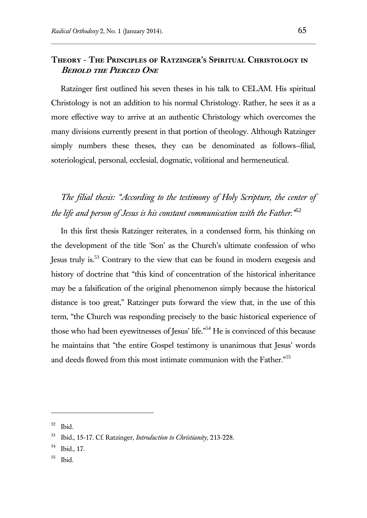# **Theory - The Principles of Ratzinger's Spiritual Christology in BEHOLD THE PIERCED ONE**

Ratzinger first outlined his seven theses in his talk to CELAM. His spiritual Christology is not an addition to his normal Christology. Rather, he sees it as a more effective way to arrive at an authentic Christology which overcomes the many divisions currently present in that portion of theology. Although Ratzinger simply numbers these theses, they can be denominated as follows—filial, soteriological, personal, ecclesial, dogmatic, volitional and hermeneutical.

*The filial thesis: "According to the testimony of Holy Scripture, the center of the life and person of Jesus is his constant communication with the Father."*<sup>52</sup>

In this first thesis Ratzinger reiterates, in a condensed form, his thinking on the development of the title 'Son' as the Church's ultimate confession of who Jesus truly is.<sup>53</sup> Contrary to the view that can be found in modern exegesis and history of doctrine that "this kind of concentration of the historical inheritance may be a falsification of the original phenomenon simply because the historical distance is too great," Ratzinger puts forward the view that, in the use of this term, "the Church was responding precisely to the basic historical experience of those who had been eyewitnesses of Jesus' life."<sup>54</sup> He is convinced of this because he maintains that "the entire Gospel testimony is unanimous that Jesus' words and deeds flowed from this most intimate communion with the Father."<sup>55</sup>

<sup>52</sup> Ibid.

<sup>53</sup> Ibid., 15-17. Cf. Ratzinger, *Introduction to Christianity*, 213-228.

<sup>54</sup> Ibid., 17.

<sup>55</sup> Ibid.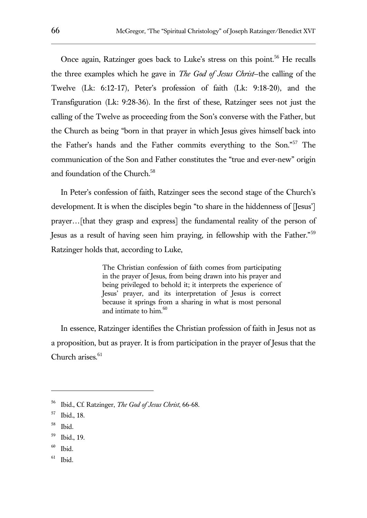Once again, Ratzinger goes back to Luke's stress on this point.<sup>56</sup> He recalls the three examples which he gave in *The God of Jesus Christ*—the calling of the Twelve (Lk: 6:12-17), Peter's profession of faith (Lk: 9:18-20), and the Transfiguration (Lk: 9:28-36). In the first of these, Ratzinger sees not just the calling of the Twelve as proceeding from the Son's converse with the Father, but the Church as being "born in that prayer in which Jesus gives himself back into the Father's hands and the Father commits everything to the Son."<sup>57</sup> The communication of the Son and Father constitutes the "true and ever-new" origin and foundation of the Church.<sup>58</sup>

In Peter's confession of faith, Ratzinger sees the second stage of the Church's development. It is when the disciples begin "to share in the hiddenness of [Jesus'] prayer…[that they grasp and express] the fundamental reality of the person of Jesus as a result of having seen him praying, in fellowship with the Father."<sup>59</sup> Ratzinger holds that, according to Luke,

> The Christian confession of faith comes from participating in the prayer of Jesus, from being drawn into his prayer and being privileged to behold it; it interprets the experience of Jesus' prayer, and its interpretation of Jesus is correct because it springs from a sharing in what is most personal and intimate to  $him.60$

In essence, Ratzinger identifies the Christian profession of faith in Jesus not as a proposition, but as prayer. It is from participation in the prayer of Jesus that the Church arises. $61$ 

<sup>56</sup> Ibid., Cf. Ratzinger, *The God of Jesus Christ*, 66-68.

<sup>57</sup> Ibid., 18.

<sup>58</sup> Ibid.

<sup>59</sup> Ibid., 19.

<sup>60</sup> Ibid.

<sup>61</sup> Ibid.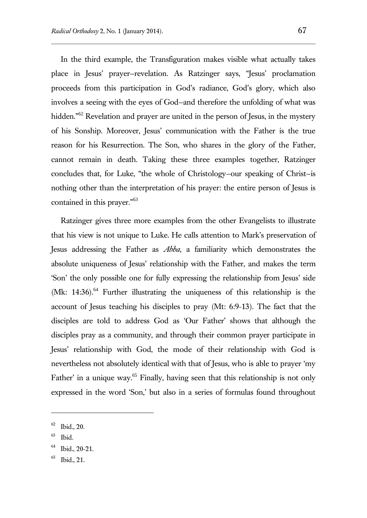In the third example, the Transfiguration makes visible what actually takes place in Jesus' prayer—revelation. As Ratzinger says, "Jesus' proclamation proceeds from this participation in God's radiance, God's glory, which also involves a seeing with the eyes of God—and therefore the unfolding of what was hidden."<sup>62</sup> Revelation and prayer are united in the person of Jesus, in the mystery of his Sonship. Moreover, Jesus' communication with the Father is the true reason for his Resurrection. The Son, who shares in the glory of the Father, cannot remain in death. Taking these three examples together, Ratzinger concludes that, for Luke, "the whole of Christology—our speaking of Christ—is nothing other than the interpretation of his prayer: the entire person of Jesus is contained in this prayer."<sup>63</sup>

Ratzinger gives three more examples from the other Evangelists to illustrate that his view is not unique to Luke. He calls attention to Mark's preservation of Jesus addressing the Father as *Abba*, a familiarity which demonstrates the absolute uniqueness of Jesus' relationship with the Father, and makes the term 'Son' the only possible one for fully expressing the relationship from Jesus' side (Mk:  $14:36$ ).<sup>64</sup> Further illustrating the uniqueness of this relationship is the account of Jesus teaching his disciples to pray (Mt: 6:9-13). The fact that the disciples are told to address God as 'Our Father' shows that although the disciples pray as a community, and through their common prayer participate in Jesus' relationship with God, the mode of their relationship with God is nevertheless not absolutely identical with that of Jesus, who is able to prayer 'my Father' in a unique way.<sup>65</sup> Finally, having seen that this relationship is not only expressed in the word 'Son,' but also in a series of formulas found throughout

<sup>62</sup> Ibid., 20.

<sup>63</sup> Ibid.

<sup>64</sup> Ibid., 20-21.

<sup>65</sup> Ibid., 21.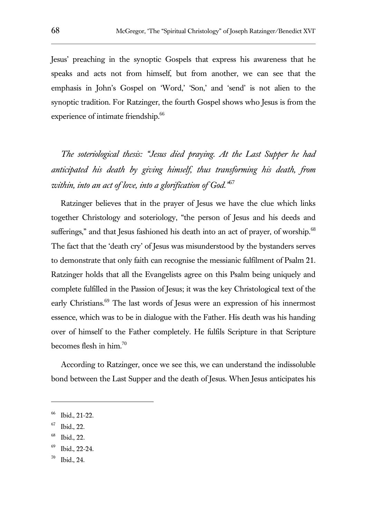Jesus' preaching in the synoptic Gospels that express his awareness that he speaks and acts not from himself, but from another, we can see that the emphasis in John's Gospel on 'Word,' 'Son,' and 'send' is not alien to the synoptic tradition. For Ratzinger, the fourth Gospel shows who Jesus is from the experience of intimate friendship.<sup>66</sup>

*The soteriological thesis: "Jesus died praying. At the Last Supper he had anticipated his death by giving himself, thus transforming his death, from within, into an act of love, into a glorification of God."*<sup>67</sup>

Ratzinger believes that in the prayer of Jesus we have the clue which links together Christology and soteriology, "the person of Jesus and his deeds and sufferings," and that Jesus fashioned his death into an act of prayer, of worship.<sup>68</sup> The fact that the 'death cry' of Jesus was misunderstood by the bystanders serves to demonstrate that only faith can recognise the messianic fulfilment of Psalm 21. Ratzinger holds that all the Evangelists agree on this Psalm being uniquely and complete fulfilled in the Passion of Jesus; it was the key Christological text of the early Christians.<sup>69</sup> The last words of Jesus were an expression of his innermost essence, which was to be in dialogue with the Father. His death was his handing over of himself to the Father completely. He fulfils Scripture in that Scripture becomes flesh in him.<sup>70</sup>

According to Ratzinger, once we see this, we can understand the indissoluble bond between the Last Supper and the death of Jesus. When Jesus anticipates his

<sup>66</sup> Ibid., 21-22.

<sup>67</sup> Ibid., 22.

<sup>68</sup> Ibid., 22.

<sup>69</sup> Ibid., 22-24.

<sup>70</sup> Ibid., 24.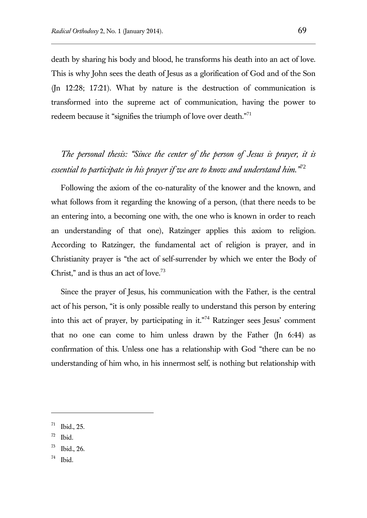death by sharing his body and blood, he transforms his death into an act of love. This is why John sees the death of Jesus as a glorification of God and of the Son (Jn 12:28; 17:21). What by nature is the destruction of communication is transformed into the supreme act of communication, having the power to redeem because it "signifies the triumph of love over death."<sup>71</sup>

# *The personal thesis: "Since the center of the person of Jesus is prayer, it is essential to participate in his prayer if we are to know and understand him."*<sup>72</sup>

Following the axiom of the co-naturality of the knower and the known, and what follows from it regarding the knowing of a person, (that there needs to be an entering into, a becoming one with, the one who is known in order to reach an understanding of that one), Ratzinger applies this axiom to religion. According to Ratzinger, the fundamental act of religion is prayer, and in Christianity prayer is "the act of self-surrender by which we enter the Body of Christ," and is thus an act of love. $73$ 

Since the prayer of Jesus, his communication with the Father, is the central act of his person, "it is only possible really to understand this person by entering into this act of prayer, by participating in it."<sup>74</sup> Ratzinger sees Jesus' comment that no one can come to him unless drawn by the Father (Jn 6:44) as confirmation of this. Unless one has a relationship with God "there can be no understanding of him who, in his innermost self, is nothing but relationship with

<sup>71</sup> Ibid., 25.

<sup>72</sup> Ibid.

<sup>73</sup> Ibid., 26.

<sup>74</sup> Ibid.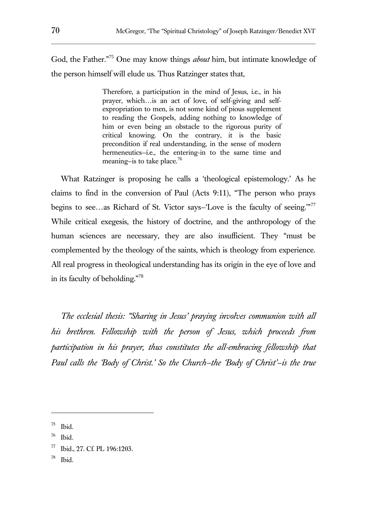God, the Father."<sup>75</sup> One may know things *about* him, but intimate knowledge of the person himself will elude us. Thus Ratzinger states that,

> Therefore, a participation in the mind of Jesus, i.e., in his prayer, which…is an act of love, of self-giving and selfexpropriation to men, is not some kind of pious supplement to reading the Gospels, adding nothing to knowledge of him or even being an obstacle to the rigorous purity of critical knowing. On the contrary, it is the basic precondition if real understanding, in the sense of modern hermeneutics-i.e., the entering-in to the same time and meaning—is to take place.<sup>76</sup>

What Ratzinger is proposing he calls a 'theological epistemology.' As he claims to find in the conversion of Paul (Acts 9:11), "The person who prays begins to see...as Richard of St. Victor says–'Love is the faculty of seeing."<sup>77</sup> While critical exegesis, the history of doctrine, and the anthropology of the human sciences are necessary, they are also insufficient. They "must be complemented by the theology of the saints, which is theology from experience. All real progress in theological understanding has its origin in the eye of love and in its faculty of beholding."<sup>78</sup>

*The ecclesial thesis: "Sharing in Jesus' praying involves communion with all his brethren. Fellowship with the person of Jesus, which proceeds from participation in his prayer, thus constitutes the all-embracing fellowship that Paul calls the 'Body of Christ.' So the Church—the 'Body of Christ'—is the true* 

l

78 Ibid.

<sup>75</sup> Ibid.

<sup>76</sup> Ibid.

<sup>77</sup> Ibid., 27. Cf. PL 196:1203.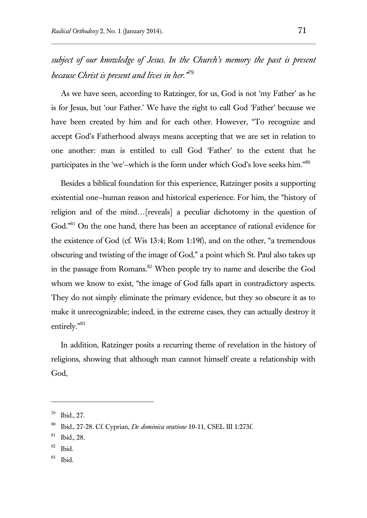*subject of our knowledge of Jesus. In the Church's memory the past is present because Christ is present and lives in her."*<sup>79</sup>

As we have seen, according to Ratzinger, for us, God is not 'my Father' as he is for Jesus, but 'our Father.' We have the right to call God 'Father' because we have been created by him and for each other. However, "To recognize and accept God's Fatherhood always means accepting that we are set in relation to one another: man is entitled to call God 'Father' to the extent that he participates in the 'we'—which is the form under which God's love seeks him."<sup>80</sup>

Besides a biblical foundation for this experience, Ratzinger posits a supporting existential one—human reason and historical experience. For him, the "history of religion and of the mind…[reveals] a peculiar dichotomy in the question of God."<sup>81</sup> On the one hand, there has been an acceptance of rational evidence for the existence of God (cf. Wis 13:4; Rom 1:19f), and on the other, "a tremendous obscuring and twisting of the image of God," a point which St. Paul also takes up in the passage from Romans.<sup>82</sup> When people try to name and describe the God whom we know to exist, "the image of God falls apart in contradictory aspects. They do not simply eliminate the primary evidence, but they so obscure it as to make it unrecognizable; indeed, in the extreme cases, they can actually destroy it entirely."<sup>83</sup>

In addition, Ratzinger posits a recurring theme of revelation in the history of religions, showing that although man cannot himself create a relationship with God,

l

83 Ibid.

<sup>79</sup> Ibid., 27.

<sup>80</sup> Ibid., 27-28. Cf. Cyprian, *De dominica oratione* 10-11, CSEL III 1:273f.

<sup>81</sup> Ibid., 28.

<sup>82</sup> Ibid.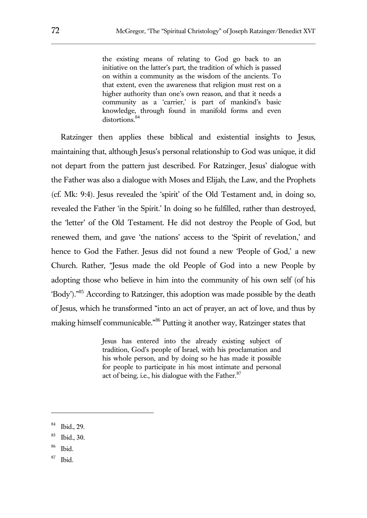the existing means of relating to God go back to an initiative on the latter's part, the tradition of which is passed on within a community as the wisdom of the ancients. To that extent, even the awareness that religion must rest on a higher authority than one's own reason, and that it needs a community as a 'carrier,' is part of mankind's basic knowledge, through found in manifold forms and even distortions.<sup>84</sup>

Ratzinger then applies these biblical and existential insights to Jesus, maintaining that, although Jesus's personal relationship to God was unique, it did not depart from the pattern just described. For Ratzinger, Jesus' dialogue with the Father was also a dialogue with Moses and Elijah, the Law, and the Prophets (cf. Mk: 9:4). Jesus revealed the 'spirit' of the Old Testament and, in doing so, revealed the Father 'in the Spirit.' In doing so he fulfilled, rather than destroyed, the 'letter' of the Old Testament. He did not destroy the People of God, but renewed them, and gave 'the nations' access to the 'Spirit of revelation,' and hence to God the Father. Jesus did not found a new 'People of God,' a new Church. Rather, "Jesus made the old People of God into a new People by adopting those who believe in him into the community of his own self (of his 'Body')."<sup>85</sup> According to Ratzinger, this adoption was made possible by the death of Jesus, which he transformed "into an act of prayer, an act of love, and thus by making himself communicable."<sup>86</sup> Putting it another way, Ratzinger states that

> Jesus has entered into the already existing subject of tradition, God's people of Israel, with his proclamation and his whole person, and by doing so he has made it possible for people to participate in his most intimate and personal act of being, i.e., his dialogue with the Father. $87$

<sup>84</sup> Ibid., 29.

<sup>85</sup> Ibid., 30.

<sup>86</sup> Ibid.

<sup>87</sup> Ibid.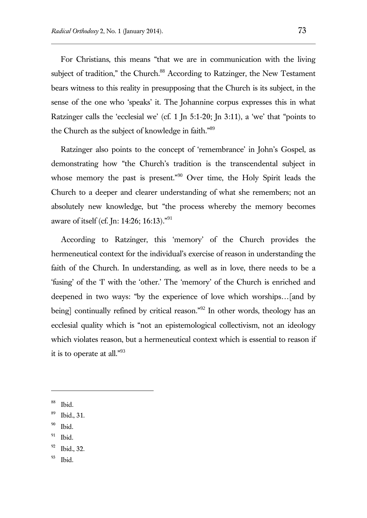For Christians, this means "that we are in communication with the living subject of tradition," the Church.<sup>88</sup> According to Ratzinger, the New Testament bears witness to this reality in presupposing that the Church is its subject, in the sense of the one who 'speaks' it. The Johannine corpus expresses this in what Ratzinger calls the 'ecclesial we' (cf. 1 Jn 5:1-20; Jn 3:11), a 'we' that "points to the Church as the subject of knowledge in faith."<sup>89</sup>

Ratzinger also points to the concept of 'remembrance' in John's Gospel, as demonstrating how "the Church's tradition is the transcendental subject in whose memory the past is present."<sup>90</sup> Over time, the Holy Spirit leads the Church to a deeper and clearer understanding of what she remembers; not an absolutely new knowledge, but "the process whereby the memory becomes aware of itself (cf. Jn: 14:26; 16:13)."<sup>91</sup>

According to Ratzinger, this 'memory' of the Church provides the hermeneutical context for the individual's exercise of reason in understanding the faith of the Church. In understanding, as well as in love, there needs to be a 'fusing' of the 'I' with the 'other.' The 'memory' of the Church is enriched and deepened in two ways: "by the experience of love which worships…[and by being] continually refined by critical reason."<sup>92</sup> In other words, theology has an ecclesial quality which is "not an epistemological collectivism, not an ideology which violates reason, but a hermeneutical context which is essential to reason if it is to operate at all."<sup>93</sup>

 $\overline{a}$ 

91 Ibid.

93 Ibid.

<sup>88</sup> Ibid.

<sup>89</sup> Ibid., 31.

<sup>90</sup> Ibid.

<sup>92</sup> Ibid., 32.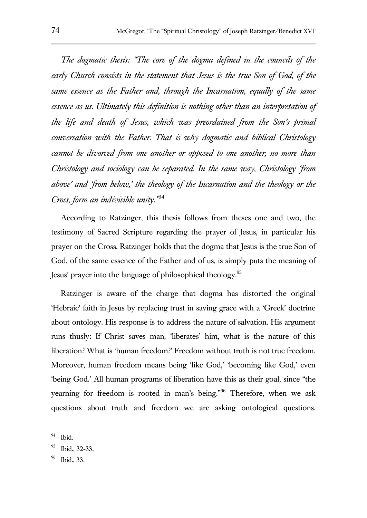*The dogmatic thesis: "The core of the dogma defined in the councils of the early Church consists in the statement that Jesus is the true Son of God, of the same essence as the Father and, through the Incarnation, equally of the same essence as us. Ultimately this definition is nothing other than an interpretation of the life and death of Jesus, which was preordained from the Son's primal conversation with the Father. That is why dogmatic and biblical Christology cannot be divorced from one another or opposed to one another, no more than Christology and sociology can be separated. In the same way, Christology 'from above' and 'from below,' the theology of the Incarnation and the theology or the Cross, form an indivisible unity."*<sup>94</sup>

According to Ratzinger, this thesis follows from theses one and two, the testimony of Sacred Scripture regarding the prayer of Jesus, in particular his prayer on the Cross. Ratzinger holds that the dogma that Jesus is the true Son of God, of the same essence of the Father and of us, is simply puts the meaning of Jesus' prayer into the language of philosophical theology.<sup>95</sup>

Ratzinger is aware of the charge that dogma has distorted the original 'Hebraic' faith in Jesus by replacing trust in saving grace with a 'Greek' doctrine about ontology. His response is to address the nature of salvation. His argument runs thusly: If Christ saves man, 'liberates' him, what is the nature of this liberation? What is 'human freedom?' Freedom without truth is not true freedom. Moreover, human freedom means being 'like God,' 'becoming like God,' even 'being God.' All human programs of liberation have this as their goal, since "the yearning for freedom is rooted in man's being."<sup>96</sup> Therefore, when we ask questions about truth and freedom we are asking ontological questions.

<sup>94</sup> Ibid.

<sup>95</sup> Ibid., 32-33.

<sup>96</sup> Ibid., 33.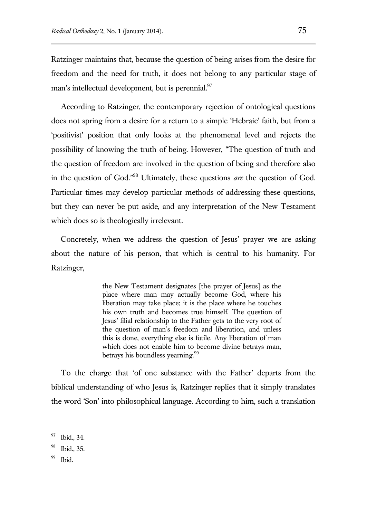Ratzinger maintains that, because the question of being arises from the desire for freedom and the need for truth, it does not belong to any particular stage of man's intellectual development, but is perennial.<sup>97</sup>

According to Ratzinger, the contemporary rejection of ontological questions does not spring from a desire for a return to a simple 'Hebraic' faith, but from a 'positivist' position that only looks at the phenomenal level and rejects the possibility of knowing the truth of being. However, "The question of truth and the question of freedom are involved in the question of being and therefore also in the question of God."<sup>98</sup> Ultimately, these questions *are* the question of God. Particular times may develop particular methods of addressing these questions, but they can never be put aside, and any interpretation of the New Testament which does so is theologically irrelevant.

Concretely, when we address the question of Jesus' prayer we are asking about the nature of his person, that which is central to his humanity. For Ratzinger,

> the New Testament designates [the prayer of Jesus] as the place where man may actually become God, where his liberation may take place; it is the place where he touches his own truth and becomes true himself. The question of Jesus' filial relationship to the Father gets to the very root of the question of man's freedom and liberation, and unless this is done, everything else is futile. Any liberation of man which does not enable him to become divine betrays man, betrays his boundless yearning.<sup>99</sup>

To the charge that 'of one substance with the Father' departs from the biblical understanding of who Jesus is, Ratzinger replies that it simply translates the word 'Son' into philosophical language. According to him, such a translation

<sup>97</sup> Ibid., 34.

<sup>98</sup> Ibid., 35.

<sup>99</sup> Ibid.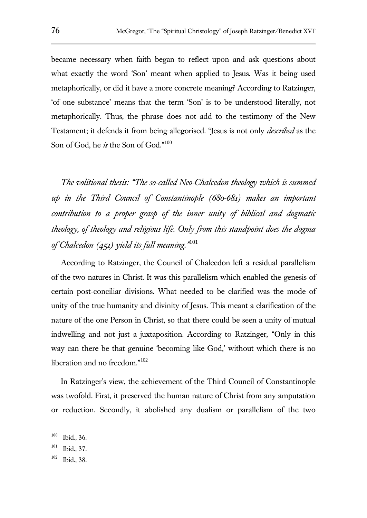became necessary when faith began to reflect upon and ask questions about what exactly the word 'Son' meant when applied to Jesus. Was it being used metaphorically, or did it have a more concrete meaning? According to Ratzinger, 'of one substance' means that the term 'Son' is to be understood literally, not metaphorically. Thus, the phrase does not add to the testimony of the New Testament; it defends it from being allegorised. "Jesus is not only *described* as the Son of God, he *is* the Son of God."<sup>100</sup>

*The volitional thesis: "The so-called Neo-Chalcedon theology which is summed up in the Third Council of Constantinople (680-681) makes an important contribution to a proper grasp of the inner unity of biblical and dogmatic theology, of theology and religious life. Only from this standpoint does the dogma of Chalcedon (451) yield its full meaning."*<sup>101</sup>

According to Ratzinger, the Council of Chalcedon left a residual parallelism of the two natures in Christ. It was this parallelism which enabled the genesis of certain post-conciliar divisions. What needed to be clarified was the mode of unity of the true humanity and divinity of Jesus. This meant a clarification of the nature of the one Person in Christ, so that there could be seen a unity of mutual indwelling and not just a juxtaposition. According to Ratzinger, "Only in this way can there be that genuine 'becoming like God,' without which there is no liberation and no freedom."<sup>102</sup>

In Ratzinger's view, the achievement of the Third Council of Constantinople was twofold. First, it preserved the human nature of Christ from any amputation or reduction. Secondly, it abolished any dualism or parallelism of the two

<sup>100</sup> Ibid., 36.

<sup>101</sup> Ibid., 37.

<sup>102</sup> Ibid., 38.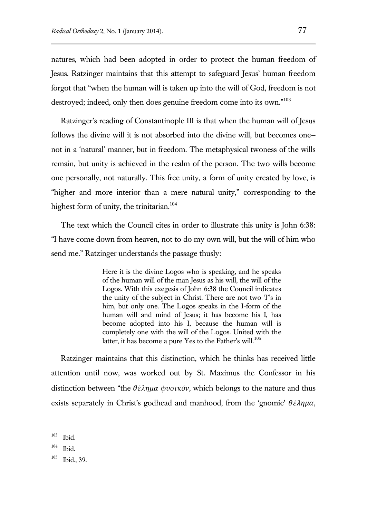natures, which had been adopted in order to protect the human freedom of Jesus. Ratzinger maintains that this attempt to safeguard Jesus' human freedom forgot that "when the human will is taken up into the will of God, freedom is not destroyed; indeed, only then does genuine freedom come into its own."<sup>103</sup>

Ratzinger's reading of Constantinople III is that when the human will of Jesus follows the divine will it is not absorbed into the divine will, but becomes one not in a 'natural' manner, but in freedom. The metaphysical twoness of the wills remain, but unity is achieved in the realm of the person. The two wills become one personally, not naturally. This free unity, a form of unity created by love, is "higher and more interior than a mere natural unity," corresponding to the highest form of unity, the trinitarian.<sup>104</sup>

The text which the Council cites in order to illustrate this unity is John 6:38: "I have come down from heaven, not to do my own will, but the will of him who send me." Ratzinger understands the passage thusly:

> Here it is the divine Logos who is speaking, and he speaks of the human will of the man Jesus as his will, the will of the Logos. With this exegesis of John 6:38 the Council indicates the unity of the subject in Christ. There are not two 'I''s in him, but only one. The Logos speaks in the I-form of the human will and mind of Jesus; it has become his I, has become adopted into his I, because the human will is completely one with the will of the Logos. United with the latter, it has become a pure Yes to the Father's will.<sup>105</sup>

Ratzinger maintains that this distinction, which he thinks has received little attention until now, was worked out by St. Maximus the Confessor in his distinction between "the  $\theta \epsilon \lambda \eta \mu \alpha \phi \nu \sigma \iota \kappa \delta \nu$ , which belongs to the nature and thus exists separately in Christ's godhead and manhood, from the 'gnomic'  $\theta \epsilon \lambda \eta \mu \alpha$ ,

<sup>103</sup> Ibid.

<sup>104</sup> Ibid.

<sup>105</sup> Ibid., 39.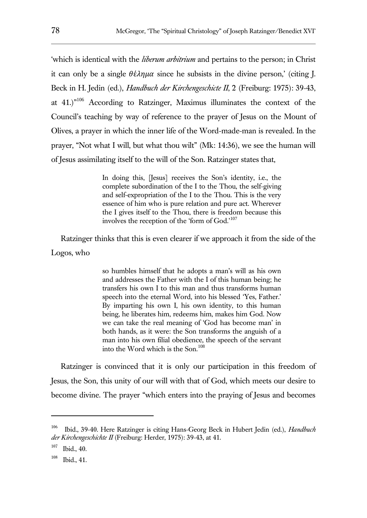'which is identical with the *liberum arbitrium* and pertains to the person; in Christ it can only be a single  $\theta \hat{\epsilon} \lambda n u \alpha$  since he subsists in the divine person,' (citing I. Beck in H. Jedin (ed.), *Handbuch der Kirchengeschicte II*, 2 (Freiburg: 1975): 39-43, at 41.)"<sup>106</sup> According to Ratzinger, Maximus illuminates the context of the Council's teaching by way of reference to the prayer of Jesus on the Mount of Olives, a prayer in which the inner life of the Word-made-man is revealed. In the prayer, "Not what I will, but what thou wilt" (Mk: 14:36), we see the human will of Jesus assimilating itself to the will of the Son. Ratzinger states that,

> In doing this, [Jesus] receives the Son's identity, i.e., the complete subordination of the I to the Thou, the self-giving and self-expropriation of the I to the Thou. This is the very essence of him who is pure relation and pure act. Wherever the I gives itself to the Thou, there is freedom because this involves the reception of the 'form of God.'<sup>107</sup>

Ratzinger thinks that this is even clearer if we approach it from the side of the Logos, who

> so humbles himself that he adopts a man's will as his own and addresses the Father with the I of this human being; he transfers his own I to this man and thus transforms human speech into the eternal Word, into his blessed 'Yes, Father.' By imparting his own I, his own identity, to this human being, he liberates him, redeems him, makes him God. Now we can take the real meaning of 'God has become man' in both hands, as it were: the Son transforms the anguish of a man into his own filial obedience, the speech of the servant into the Word which is the Son.<sup>108</sup>

Ratzinger is convinced that it is only our participation in this freedom of Jesus, the Son, this unity of our will with that of God, which meets our desire to become divine. The prayer "which enters into the praying of Jesus and becomes

<sup>106</sup> Ibid., 39-40. Here Ratzinger is citing Hans-Georg Beck in Hubert Jedin (ed.), *Handbuch der Kirchengeschichte II* (Freiburg: Herder, 1975): 39-43, at 41.

<sup>107</sup> Ibid., 40.

<sup>108</sup> Ibid., 41.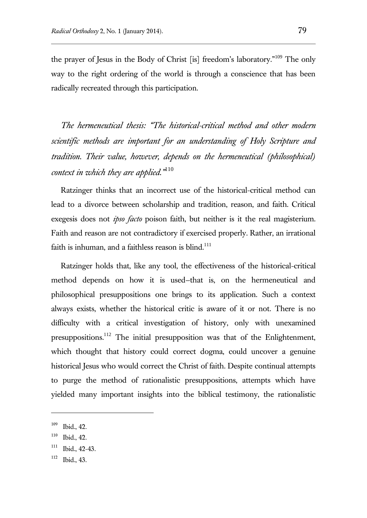the prayer of Jesus in the Body of Christ [is] freedom's laboratory."<sup>109</sup> The only way to the right ordering of the world is through a conscience that has been radically recreated through this participation.

*The hermeneutical thesis: "The historical-critical method and other modern scientific methods are important for an understanding of Holy Scripture and tradition. Their value, however, depends on the hermeneutical (philosophical) context in which they are applied."*<sup>110</sup>

Ratzinger thinks that an incorrect use of the historical-critical method can lead to a divorce between scholarship and tradition, reason, and faith. Critical exegesis does not *ipso facto* poison faith, but neither is it the real magisterium. Faith and reason are not contradictory if exercised properly. Rather, an irrational faith is inhuman, and a faithless reason is blind.<sup>111</sup>

Ratzinger holds that, like any tool, the effectiveness of the historical-critical method depends on how it is used—that is, on the hermeneutical and philosophical presuppositions one brings to its application. Such a context always exists, whether the historical critic is aware of it or not. There is no difficulty with a critical investigation of history, only with unexamined presuppositions.<sup>112</sup> The initial presupposition was that of the Enlightenment, which thought that history could correct dogma, could uncover a genuine historical Jesus who would correct the Christ of faith. Despite continual attempts to purge the method of rationalistic presuppositions, attempts which have yielded many important insights into the biblical testimony, the rationalistic

<sup>109</sup> Ibid., 42.

<sup>110</sup> Ibid., 42.

<sup>111</sup> Ibid., 42-43.

<sup>112</sup> Ibid., 43.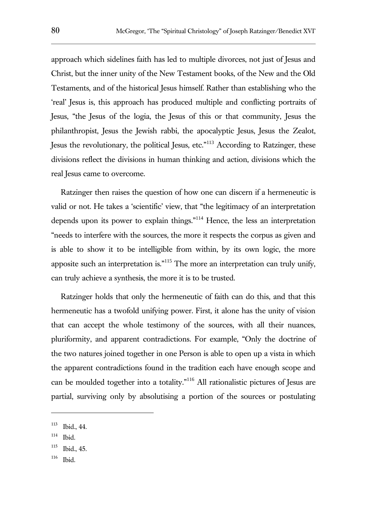approach which sidelines faith has led to multiple divorces, not just of Jesus and Christ, but the inner unity of the New Testament books, of the New and the Old Testaments, and of the historical Jesus himself. Rather than establishing who the 'real' Jesus is, this approach has produced multiple and conflicting portraits of Jesus, "the Jesus of the logia, the Jesus of this or that community, Jesus the philanthropist, Jesus the Jewish rabbi, the apocalyptic Jesus, Jesus the Zealot, Jesus the revolutionary, the political Jesus, etc."<sup>113</sup> According to Ratzinger, these divisions reflect the divisions in human thinking and action, divisions which the real Jesus came to overcome.

Ratzinger then raises the question of how one can discern if a hermeneutic is valid or not. He takes a 'scientific' view, that "the legitimacy of an interpretation depends upon its power to explain things."<sup>114</sup> Hence, the less an interpretation "needs to interfere with the sources, the more it respects the corpus as given and is able to show it to be intelligible from within, by its own logic, the more apposite such an interpretation is."<sup>115</sup> The more an interpretation can truly unify, can truly achieve a synthesis, the more it is to be trusted.

Ratzinger holds that only the hermeneutic of faith can do this, and that this hermeneutic has a twofold unifying power. First, it alone has the unity of vision that can accept the whole testimony of the sources, with all their nuances, pluriformity, and apparent contradictions. For example, "Only the doctrine of the two natures joined together in one Person is able to open up a vista in which the apparent contradictions found in the tradition each have enough scope and can be moulded together into a totality."<sup>116</sup> All rationalistic pictures of Jesus are partial, surviving only by absolutising a portion of the sources or postulating

114 Ibid.

<sup>113</sup> Ibid., 44.

<sup>115</sup> Ibid., 45.

<sup>116</sup> Ibid.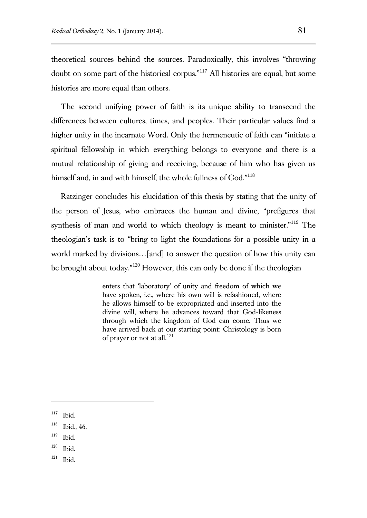theoretical sources behind the sources. Paradoxically, this involves "throwing doubt on some part of the historical corpus."<sup>117</sup> All histories are equal, but some histories are more equal than others.

The second unifying power of faith is its unique ability to transcend the differences between cultures, times, and peoples. Their particular values find a higher unity in the incarnate Word. Only the hermeneutic of faith can "initiate a spiritual fellowship in which everything belongs to everyone and there is a mutual relationship of giving and receiving, because of him who has given us himself and, in and with himself, the whole fullness of God."<sup>118</sup>

Ratzinger concludes his elucidation of this thesis by stating that the unity of the person of Jesus, who embraces the human and divine, "prefigures that synthesis of man and world to which theology is meant to minister."<sup>119</sup> The theologian's task is to "bring to light the foundations for a possible unity in a world marked by divisions…[and] to answer the question of how this unity can be brought about today."<sup>120</sup> However, this can only be done if the theologian

> enters that 'laboratory' of unity and freedom of which we have spoken, i.e., where his own will is refashioned, where he allows himself to be expropriated and inserted into the divine will, where he advances toward that God-likeness through which the kingdom of God can come. Thus we have arrived back at our starting point: Christology is born of prayer or not at all.<sup>121</sup>

<sup>117</sup> Ibid.

<sup>118</sup> Ibid., 46.

<sup>119</sup> Ibid.

<sup>120</sup> Ibid.

<sup>121</sup> Ibid.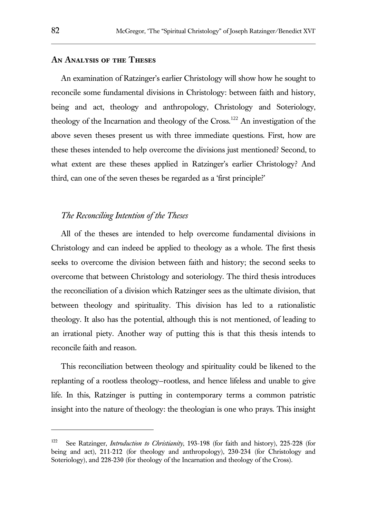#### **An Analysis of the Theses**

An examination of Ratzinger's earlier Christology will show how he sought to reconcile some fundamental divisions in Christology: between faith and history, being and act, theology and anthropology, Christology and Soteriology, theology of the Incarnation and theology of the Cross.<sup>122</sup> An investigation of the above seven theses present us with three immediate questions. First, how are these theses intended to help overcome the divisions just mentioned? Second, to what extent are these theses applied in Ratzinger's earlier Christology? And third, can one of the seven theses be regarded as a 'first principle?'

#### *The Reconciling Intention of the Theses*

All of the theses are intended to help overcome fundamental divisions in Christology and can indeed be applied to theology as a whole. The first thesis seeks to overcome the division between faith and history; the second seeks to overcome that between Christology and soteriology. The third thesis introduces the reconciliation of a division which Ratzinger sees as the ultimate division, that between theology and spirituality. This division has led to a rationalistic theology. It also has the potential, although this is not mentioned, of leading to an irrational piety. Another way of putting this is that this thesis intends to reconcile faith and reason.

This reconciliation between theology and spirituality could be likened to the replanting of a rootless theology—rootless, and hence lifeless and unable to give life. In this, Ratzinger is putting in contemporary terms a common patristic insight into the nature of theology: the theologian is one who prays. This insight

<sup>122</sup> See Ratzinger, *Introduction to Christianity*, 193-198 (for faith and history), 225-228 (for being and act), 211-212 (for theology and anthropology), 230-234 (for Christology and Soteriology), and 228-230 (for theology of the Incarnation and theology of the Cross).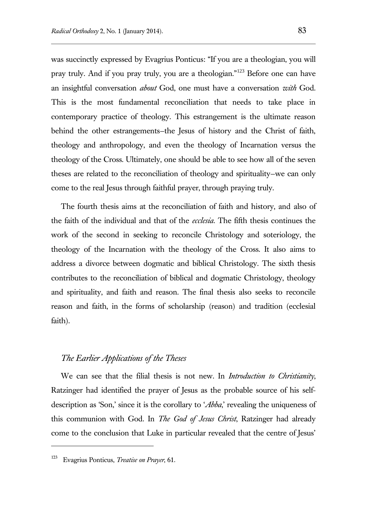was succinctly expressed by Evagrius Ponticus: "If you are a theologian, you will pray truly. And if you pray truly, you are a theologian."<sup>123</sup> Before one can have an insightful conversation *about* God, one must have a conversation *with* God. This is the most fundamental reconciliation that needs to take place in contemporary practice of theology. This estrangement is the ultimate reason behind the other estrangements—the Jesus of history and the Christ of faith, theology and anthropology, and even the theology of Incarnation versus the theology of the Cross. Ultimately, one should be able to see how all of the seven theses are related to the reconciliation of theology and spirituality—we can only come to the real Jesus through faithful prayer, through praying truly.

The fourth thesis aims at the reconciliation of faith and history, and also of the faith of the individual and that of the *ecclesia*. The fifth thesis continues the work of the second in seeking to reconcile Christology and soteriology, the theology of the Incarnation with the theology of the Cross. It also aims to address a divorce between dogmatic and biblical Christology. The sixth thesis contributes to the reconciliation of biblical and dogmatic Christology, theology and spirituality, and faith and reason. The final thesis also seeks to reconcile reason and faith, in the forms of scholarship (reason) and tradition (ecclesial faith).

# *The Earlier Applications of the Theses*

We can see that the filial thesis is not new. In *Introduction to Christianity*, Ratzinger had identified the prayer of Jesus as the probable source of his selfdescription as 'Son,' since it is the corollary to '*Abba*,' revealing the uniqueness of this communion with God. In *The God of Jesus Christ*, Ratzinger had already come to the conclusion that Luke in particular revealed that the centre of Jesus'

<sup>123</sup> Evagrius Ponticus, *Treatise on Prayer*, 61.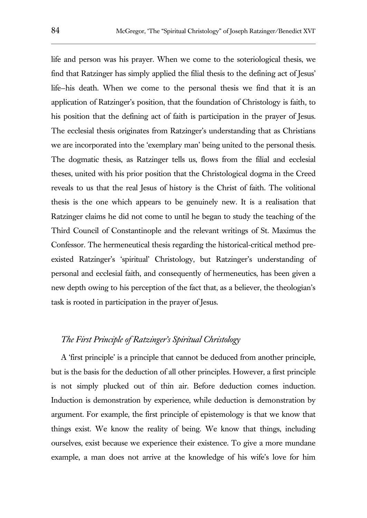life and person was his prayer. When we come to the soteriological thesis, we find that Ratzinger has simply applied the filial thesis to the defining act of Jesus' life—his death. When we come to the personal thesis we find that it is an application of Ratzinger's position, that the foundation of Christology is faith, to his position that the defining act of faith is participation in the prayer of Jesus. The ecclesial thesis originates from Ratzinger's understanding that as Christians we are incorporated into the 'exemplary man' being united to the personal thesis. The dogmatic thesis, as Ratzinger tells us, flows from the filial and ecclesial theses, united with his prior position that the Christological dogma in the Creed reveals to us that the real Jesus of history is the Christ of faith. The volitional thesis is the one which appears to be genuinely new. It is a realisation that Ratzinger claims he did not come to until he began to study the teaching of the Third Council of Constantinople and the relevant writings of St. Maximus the Confessor. The hermeneutical thesis regarding the historical-critical method preexisted Ratzinger's 'spiritual' Christology, but Ratzinger's understanding of personal and ecclesial faith, and consequently of hermeneutics, has been given a new depth owing to his perception of the fact that, as a believer, the theologian's task is rooted in participation in the prayer of Jesus.

#### *The First Principle of Ratzinger's Spiritual Christology*

A 'first principle' is a principle that cannot be deduced from another principle, but is the basis for the deduction of all other principles. However, a first principle is not simply plucked out of thin air. Before deduction comes induction. Induction is demonstration by experience, while deduction is demonstration by argument. For example, the first principle of epistemology is that we know that things exist. We know the reality of being. We know that things, including ourselves, exist because we experience their existence. To give a more mundane example, a man does not arrive at the knowledge of his wife's love for him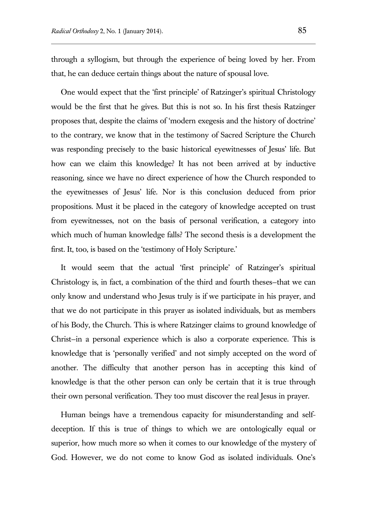through a syllogism, but through the experience of being loved by her. From that, he can deduce certain things about the nature of spousal love.

One would expect that the 'first principle' of Ratzinger's spiritual Christology would be the first that he gives. But this is not so. In his first thesis Ratzinger proposes that, despite the claims of 'modern exegesis and the history of doctrine' to the contrary, we know that in the testimony of Sacred Scripture the Church was responding precisely to the basic historical eyewitnesses of Jesus' life. But how can we claim this knowledge? It has not been arrived at by inductive reasoning, since we have no direct experience of how the Church responded to the eyewitnesses of Jesus' life. Nor is this conclusion deduced from prior propositions. Must it be placed in the category of knowledge accepted on trust from eyewitnesses, not on the basis of personal verification, a category into which much of human knowledge falls? The second thesis is a development the first. It, too, is based on the 'testimony of Holy Scripture.'

It would seem that the actual 'first principle' of Ratzinger's spiritual Christology is, in fact, a combination of the third and fourth theses—that we can only know and understand who Jesus truly is if we participate in his prayer, and that we do not participate in this prayer as isolated individuals, but as members of his Body, the Church. This is where Ratzinger claims to ground knowledge of Christ—in a personal experience which is also a corporate experience. This is knowledge that is 'personally verified' and not simply accepted on the word of another. The difficulty that another person has in accepting this kind of knowledge is that the other person can only be certain that it is true through their own personal verification. They too must discover the real Jesus in prayer.

Human beings have a tremendous capacity for misunderstanding and selfdeception. If this is true of things to which we are ontologically equal or superior, how much more so when it comes to our knowledge of the mystery of God. However, we do not come to know God as isolated individuals. One's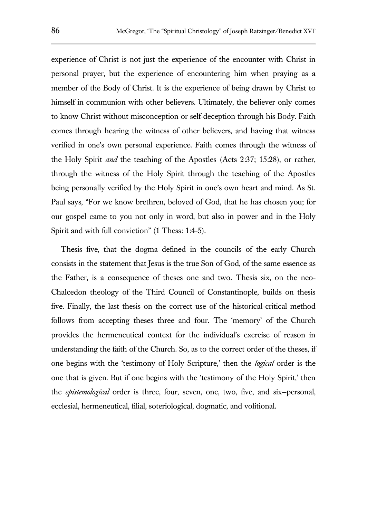experience of Christ is not just the experience of the encounter with Christ in personal prayer, but the experience of encountering him when praying as a member of the Body of Christ. It is the experience of being drawn by Christ to himself in communion with other believers. Ultimately, the believer only comes to know Christ without misconception or self-deception through his Body. Faith comes through hearing the witness of other believers, and having that witness verified in one's own personal experience. Faith comes through the witness of the Holy Spirit *and* the teaching of the Apostles (Acts 2:37; 15:28), or rather, through the witness of the Holy Spirit through the teaching of the Apostles being personally verified by the Holy Spirit in one's own heart and mind. As St. Paul says, "For we know brethren, beloved of God, that he has chosen you; for our gospel came to you not only in word, but also in power and in the Holy Spirit and with full conviction" (1 Thess: 1:4-5).

Thesis five, that the dogma defined in the councils of the early Church consists in the statement that Jesus is the true Son of God, of the same essence as the Father, is a consequence of theses one and two. Thesis six, on the neo-Chalcedon theology of the Third Council of Constantinople, builds on thesis five. Finally, the last thesis on the correct use of the historical-critical method follows from accepting theses three and four. The 'memory' of the Church provides the hermeneutical context for the individual's exercise of reason in understanding the faith of the Church. So, as to the correct order of the theses, if one begins with the 'testimony of Holy Scripture,' then the *logical* order is the one that is given. But if one begins with the 'testimony of the Holy Spirit,' then the *epistemological* order is three, four, seven, one, two, five, and six—personal, ecclesial, hermeneutical, filial, soteriological, dogmatic, and volitional.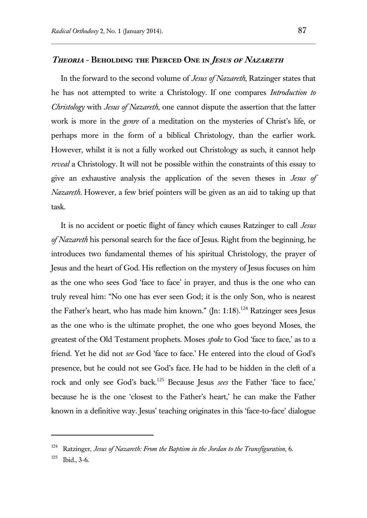#### **Theoria - Beholding the Pierced One in Jesus of Nazareth**

In the forward to the second volume of *Jesus of Nazareth*, Ratzinger states that he has not attempted to write a Christology. If one compares *Introduction to Christology* with *Jesus of Nazareth*, one cannot dispute the assertion that the latter work is more in the *genre* of a meditation on the mysteries of Christ's life, or perhaps more in the form of a biblical Christology, than the earlier work. However, whilst it is not a fully worked out Christology as such, it cannot help *reveal* a Christology. It will not be possible within the constraints of this essay to give an exhaustive analysis the application of the seven theses in *Jesus of Nazareth*. However, a few brief pointers will be given as an aid to taking up that task.

It is no accident or poetic flight of fancy which causes Ratzinger to call *Jesus of Nazareth* his personal search for the face of Jesus. Right from the beginning, he introduces two fundamental themes of his spiritual Christology, the prayer of Jesus and the heart of God. His reflection on the mystery of Jesus focuses on him as the one who sees God 'face to face' in prayer, and thus is the one who can truly reveal him: "No one has ever seen God; it is the only Son, who is nearest the Father's heart, who has made him known."  $(In: 1:18)$ .<sup>124</sup> Ratzinger sees Jesus as the one who is the ultimate prophet, the one who goes beyond Moses, the greatest of the Old Testament prophets. Moses *spoke* to God 'face to face,' as to a friend. Yet he did not *see* God 'face to face.' He entered into the cloud of God's presence, but he could not see God's face. He had to be hidden in the cleft of a rock and only see God's back.<sup>125</sup> Because Jesus *sees* the Father 'face to face,' because he is the one 'closest to the Father's heart,' he can make the Father known in a definitive way. Jesus' teaching originates in this 'face-to-face' dialogue

<sup>124</sup> Ratzinger, *Jesus of Nazareth: From the Baptism in the Jordan to the Transfiguration*, 6.

<sup>125</sup> Ibid., 3-6.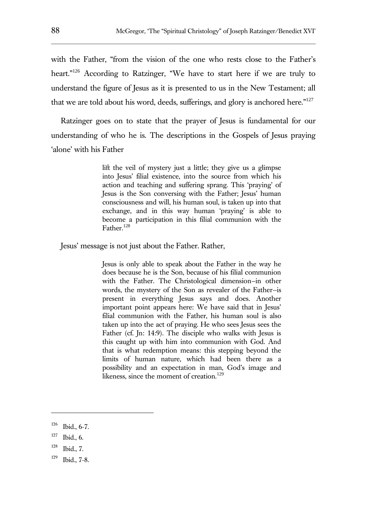with the Father, "from the vision of the one who rests close to the Father's heart."<sup>126</sup> According to Ratzinger, "We have to start here if we are truly to understand the figure of Jesus as it is presented to us in the New Testament; all that we are told about his word, deeds, sufferings, and glory is anchored here." $127$ 

Ratzinger goes on to state that the prayer of Jesus is fundamental for our understanding of who he is. The descriptions in the Gospels of Jesus praying 'alone' with his Father

> lift the veil of mystery just a little; they give us a glimpse into Jesus' filial existence, into the source from which his action and teaching and suffering sprang. This 'praying' of Jesus is the Son conversing with the Father; Jesus' human consciousness and will, his human soul, is taken up into that exchange, and in this way human 'praying' is able to become a participation in this filial communion with the Father.<sup>128</sup>

Jesus' message is not just about the Father. Rather,

Jesus is only able to speak about the Father in the way he does because he is the Son, because of his filial communion with the Father. The Christological dimension—in other words, the mystery of the Son as revealer of the Father—is present in everything Jesus says and does. Another important point appears here: We have said that in Jesus' filial communion with the Father, his human soul is also taken up into the act of praying. He who sees Jesus sees the Father (cf. Jn: 14:9). The disciple who walks with Jesus is this caught up with him into communion with God. And that is what redemption means: this stepping beyond the limits of human nature, which had been there as a possibility and an expectation in man, God's image and likeness, since the moment of creation.<sup>129</sup>

<sup>126</sup> Ibid., 6-7.

<sup>127</sup> Ibid., 6.

<sup>128</sup> Ibid., 7.

<sup>129</sup> Ibid., 7-8.